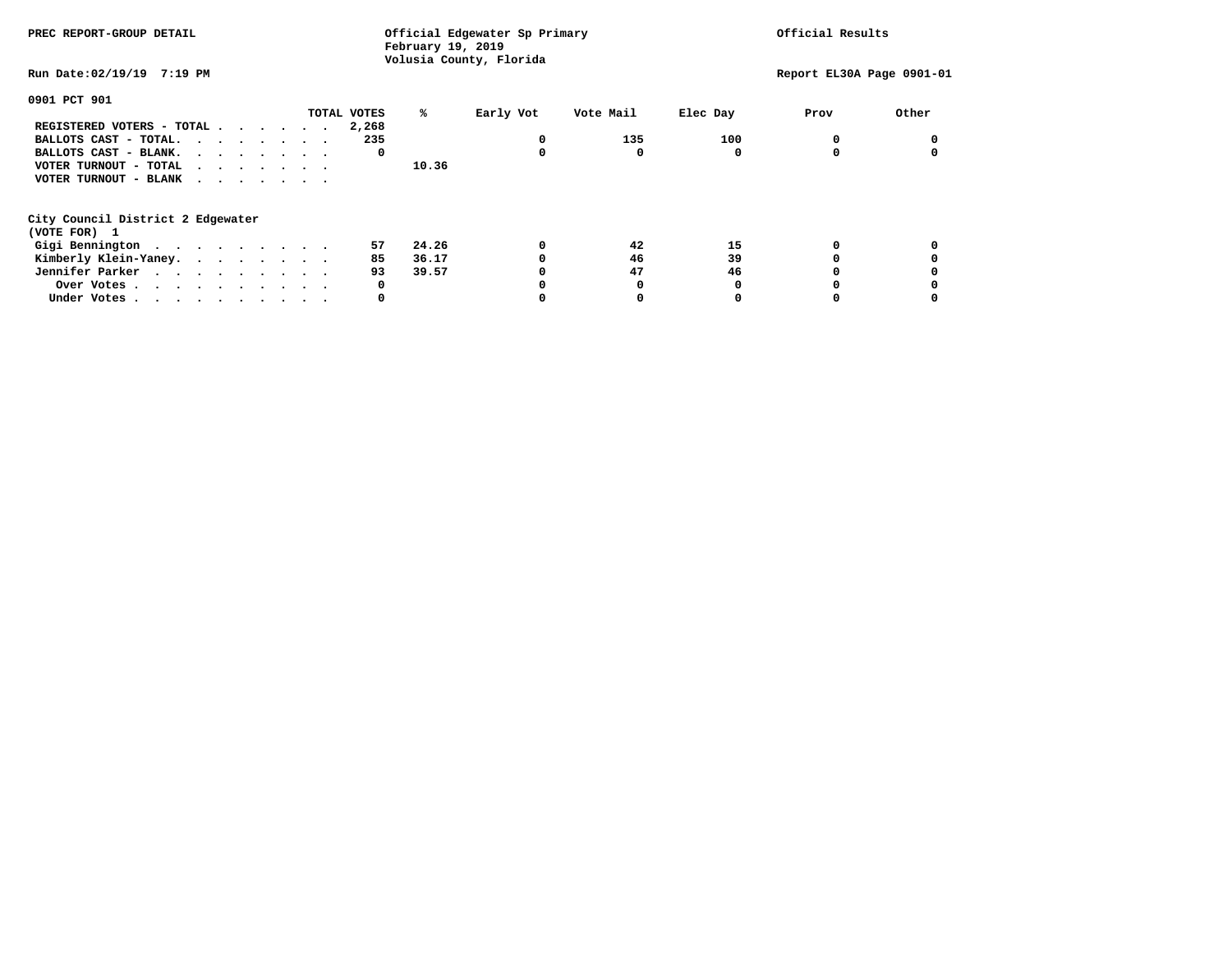| PREC REPORT-GROUP DETAIL                                    |  |  |  | Official Edgewater Sp Primary<br>February 19, 2019<br>Volusia County, Florida |       | Official Results |           |          |                           |       |
|-------------------------------------------------------------|--|--|--|-------------------------------------------------------------------------------|-------|------------------|-----------|----------|---------------------------|-------|
| Run Date:02/19/19 7:19 PM                                   |  |  |  |                                                                               |       |                  |           |          | Report EL30A Page 0901-01 |       |
| 0901 PCT 901                                                |  |  |  |                                                                               |       |                  |           |          |                           |       |
|                                                             |  |  |  | TOTAL VOTES                                                                   | ℁     | Early Vot        | Vote Mail | Elec Day | Prov                      | Other |
| REGISTERED VOTERS - TOTAL                                   |  |  |  | 2,268                                                                         |       |                  |           |          |                           |       |
| BALLOTS CAST - TOTAL.                                       |  |  |  | 235                                                                           |       | 0                | 135       | 100      |                           |       |
| BALLOTS CAST - BLANK.                                       |  |  |  | 0                                                                             |       | <sup>0</sup>     |           |          |                           |       |
| VOTER TURNOUT - TOTAL $\cdot \cdot \cdot \cdot \cdot \cdot$ |  |  |  |                                                                               | 10.36 |                  |           |          |                           |       |
| VOTER TURNOUT - BLANK                                       |  |  |  |                                                                               |       |                  |           |          |                           |       |
| City Council District 2 Edgewater                           |  |  |  |                                                                               |       |                  |           |          |                           |       |
| (VOTE FOR) 1                                                |  |  |  |                                                                               |       |                  |           |          |                           |       |
| Gigi Bennington                                             |  |  |  | 57                                                                            | 24.26 | 0                | 42        | 15       |                           |       |
| Kimberly Klein-Yaney.                                       |  |  |  | 85                                                                            | 36.17 |                  | 46        | 39       |                           |       |
| Jennifer Parker                                             |  |  |  | 93                                                                            | 39.57 |                  | 47        | 46       |                           |       |
| Over Votes.                                                 |  |  |  | 0                                                                             |       |                  |           |          |                           |       |
| Under Votes                                                 |  |  |  | 0                                                                             |       |                  |           |          |                           |       |
|                                                             |  |  |  |                                                                               |       |                  |           |          |                           |       |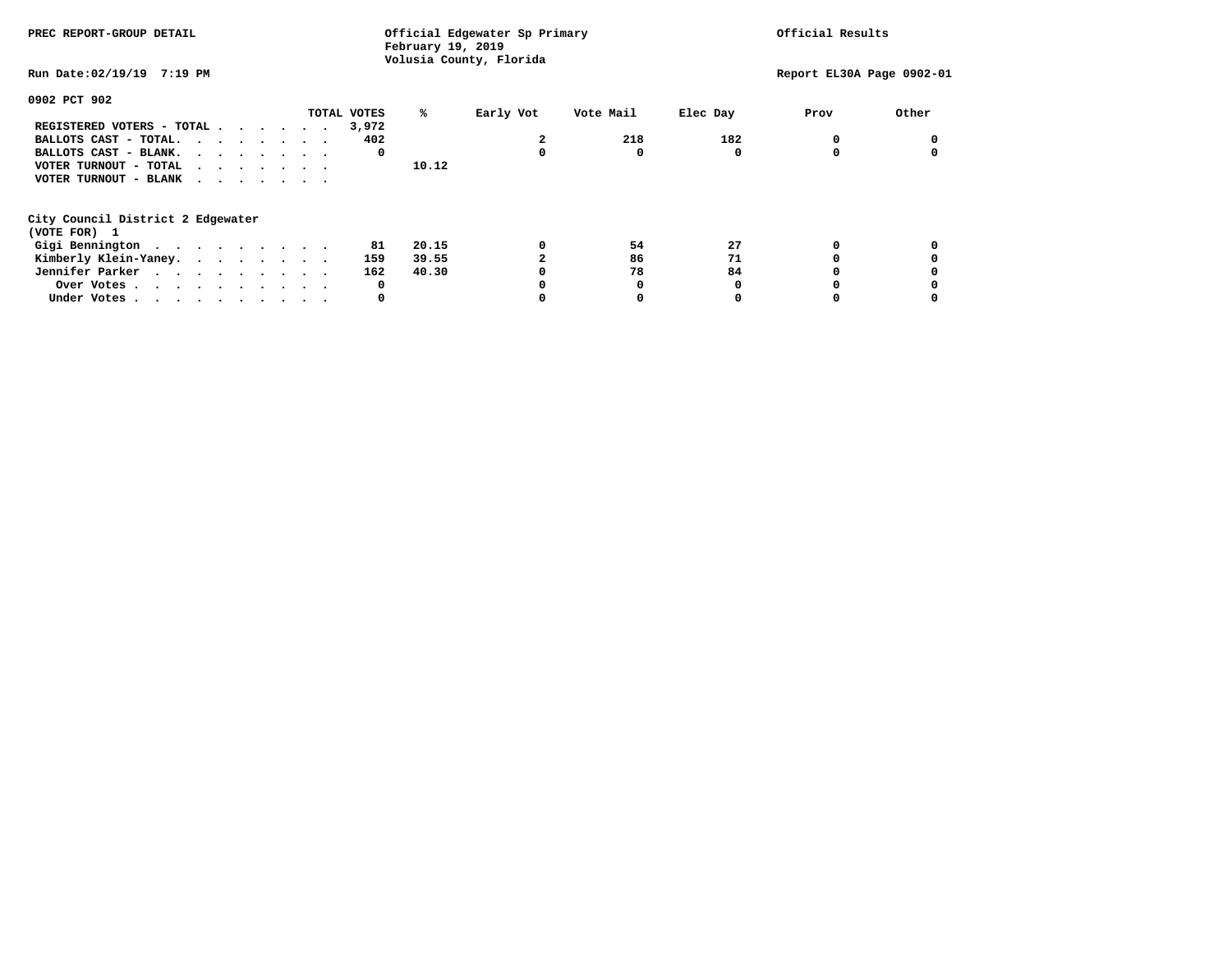| PREC REPORT-GROUP DETAIL                                    |  |  |  | Official Edgewater Sp Primary<br>February 19, 2019<br>Volusia County, Florida |       | Official Results |           |          |                           |       |
|-------------------------------------------------------------|--|--|--|-------------------------------------------------------------------------------|-------|------------------|-----------|----------|---------------------------|-------|
| Run Date:02/19/19 7:19 PM                                   |  |  |  |                                                                               |       |                  |           |          | Report EL30A Page 0902-01 |       |
| 0902 PCT 902                                                |  |  |  |                                                                               |       |                  |           |          |                           |       |
|                                                             |  |  |  | TOTAL VOTES                                                                   | ℁     | Early Vot        | Vote Mail | Elec Day | Prov                      | Other |
| REGISTERED VOTERS - TOTAL                                   |  |  |  | 3,972                                                                         |       |                  |           |          |                           |       |
| BALLOTS CAST - TOTAL.                                       |  |  |  | 402                                                                           |       |                  | 218       | 182      |                           |       |
| BALLOTS CAST - BLANK.                                       |  |  |  | 0                                                                             |       |                  |           |          |                           |       |
| VOTER TURNOUT - TOTAL $\cdot \cdot \cdot \cdot \cdot \cdot$ |  |  |  |                                                                               | 10.12 |                  |           |          |                           |       |
| VOTER TURNOUT - BLANK                                       |  |  |  |                                                                               |       |                  |           |          |                           |       |
| City Council District 2 Edgewater                           |  |  |  |                                                                               |       |                  |           |          |                           |       |
| (VOTE FOR) 1                                                |  |  |  |                                                                               |       |                  |           |          |                           |       |
| Gigi Bennington                                             |  |  |  | 81                                                                            | 20.15 | 0                | 54        | 27       |                           |       |
| Kimberly Klein-Yaney.                                       |  |  |  | 159                                                                           | 39.55 |                  | 86        | 71       |                           |       |
| Jennifer Parker                                             |  |  |  | 162                                                                           | 40.30 |                  | 78        | 84       |                           |       |
| Over Votes.                                                 |  |  |  | 0                                                                             |       |                  |           |          |                           |       |
| Under Votes                                                 |  |  |  | 0                                                                             |       |                  |           |          |                           |       |
|                                                             |  |  |  |                                                                               |       |                  |           |          |                           |       |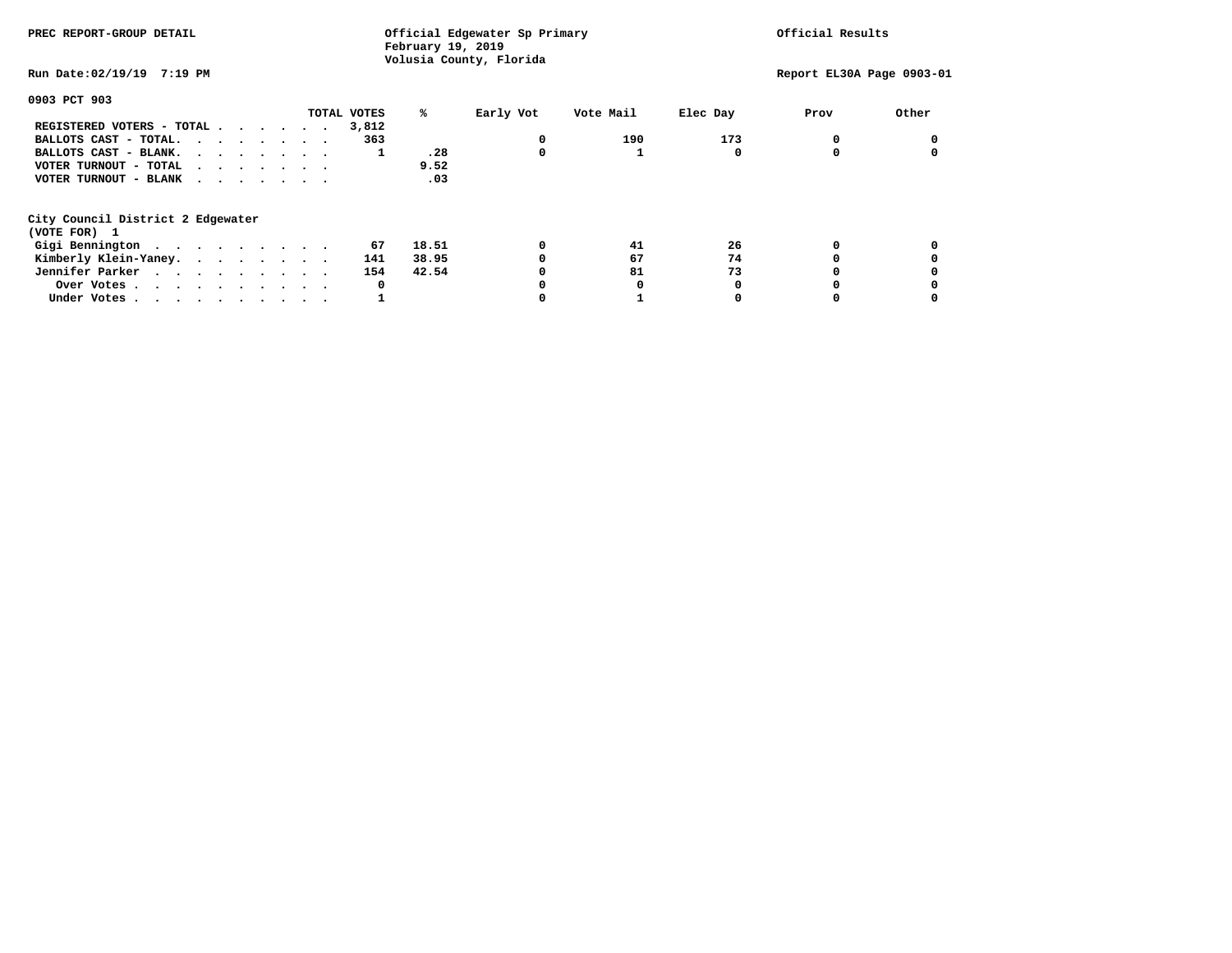| PREC REPORT-GROUP DETAIL                                    |  |             | Official Edgewater Sp Primary<br>February 19, 2019 | Official Results        |           |          |                           |       |
|-------------------------------------------------------------|--|-------------|----------------------------------------------------|-------------------------|-----------|----------|---------------------------|-------|
| Run Date:02/19/19 7:19 PM                                   |  |             |                                                    | Volusia County, Florida |           |          | Report EL30A Page 0903-01 |       |
| 0903 PCT 903                                                |  |             |                                                    |                         |           |          |                           |       |
|                                                             |  | TOTAL VOTES | ℁                                                  | Early Vot               | Vote Mail | Elec Day | Prov                      | Other |
| REGISTERED VOTERS - TOTAL                                   |  | 3,812       |                                                    |                         |           |          |                           |       |
| BALLOTS CAST - TOTAL.                                       |  | 363         |                                                    | 0                       | 190       | 173      |                           |       |
| BALLOTS CAST - BLANK.                                       |  | 1           | .28                                                | 0                       |           |          |                           |       |
| VOTER TURNOUT - TOTAL $\cdot \cdot \cdot \cdot \cdot \cdot$ |  |             | 9.52                                               |                         |           |          |                           |       |
| VOTER TURNOUT - BLANK                                       |  |             | .03                                                |                         |           |          |                           |       |
| City Council District 2 Edgewater<br>(VOTE FOR) 1           |  |             |                                                    |                         |           |          |                           |       |
| Gigi Bennington                                             |  | 67          | 18.51                                              | 0                       | 41        | 26       |                           |       |
|                                                             |  |             |                                                    | 0                       | 67        | 74       |                           |       |
| Kimberly Klein-Yaney.                                       |  | 141         | 38.95                                              |                         |           |          |                           |       |
| Jennifer Parker                                             |  | 154         | 42.54                                              | 0                       | 81        | 73       |                           |       |
| Over Votes                                                  |  | 0           |                                                    |                         |           |          |                           |       |
| Under Votes                                                 |  |             |                                                    |                         |           |          |                           |       |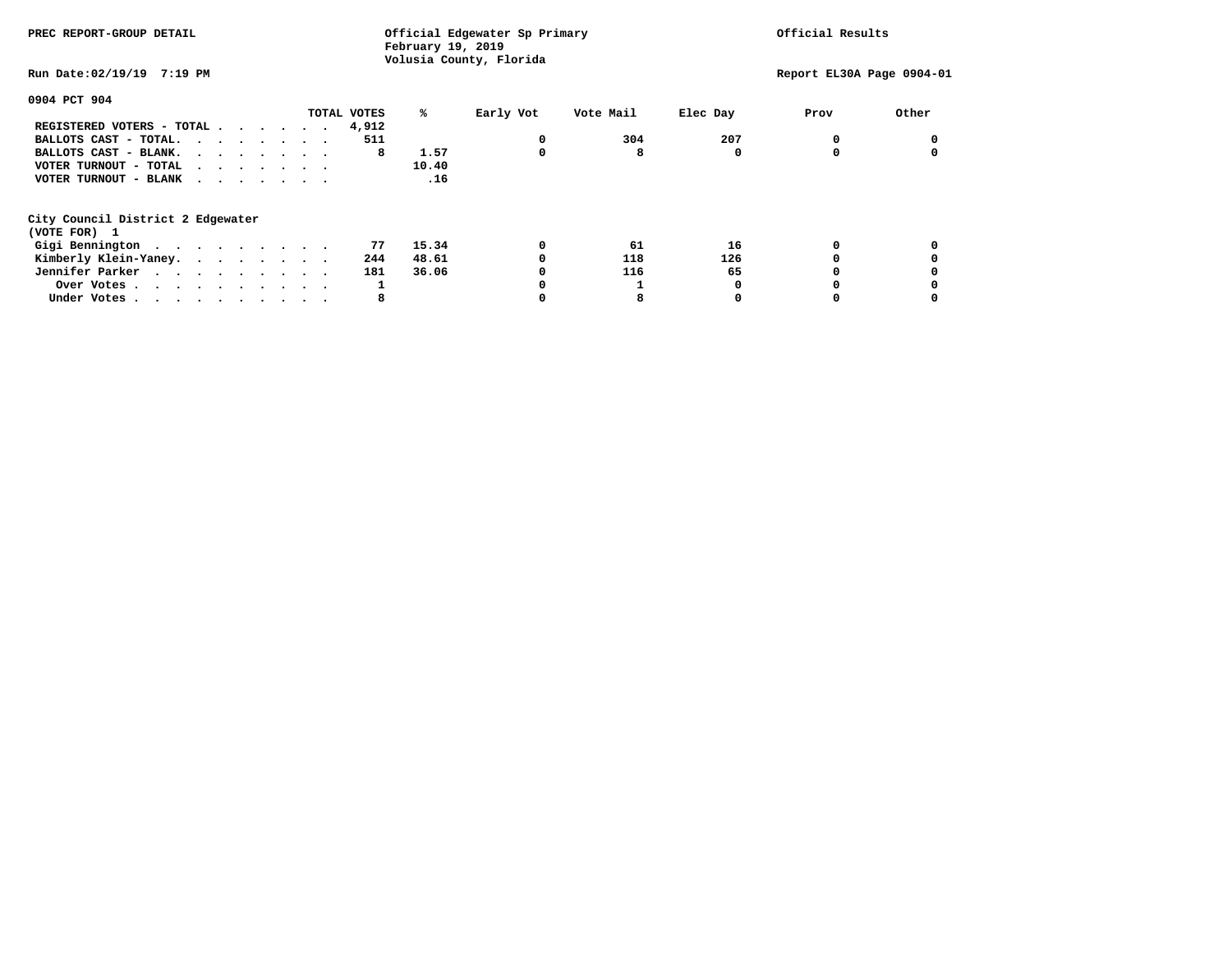| PREC REPORT-GROUP DETAIL                                    | Official Edgewater Sp Primary<br>February 19, 2019 | Official Results        |           |          |                           |       |
|-------------------------------------------------------------|----------------------------------------------------|-------------------------|-----------|----------|---------------------------|-------|
| Run Date:02/19/19 7:19 PM                                   |                                                    | Volusia County, Florida |           |          | Report EL30A Page 0904-01 |       |
| 0904 PCT 904                                                |                                                    |                         |           |          |                           |       |
|                                                             | TOTAL VOTES<br>℁                                   | Early Vot               | Vote Mail | Elec Day | Prov                      | Other |
| REGISTERED VOTERS - TOTAL                                   | 4,912                                              |                         |           |          |                           |       |
| BALLOTS CAST - TOTAL.                                       | 511                                                | 0                       | 304       | 207      |                           |       |
| BALLOTS CAST - BLANK.                                       | 1.57<br>8                                          | 0                       | 8         | 0        |                           |       |
| VOTER TURNOUT - TOTAL $\cdot \cdot \cdot \cdot \cdot \cdot$ | 10.40                                              |                         |           |          |                           |       |
| VOTER TURNOUT - BLANK                                       | .16                                                |                         |           |          |                           |       |
| City Council District 2 Edgewater<br>(VOTE FOR) 1           |                                                    |                         |           |          |                           |       |
|                                                             | 15.34<br>77                                        | 0                       | 61        | 16       |                           |       |
| Gigi Bennington                                             |                                                    |                         |           |          |                           |       |
| Kimberly Klein-Yaney.                                       | 48.61<br>244                                       | 0                       | 118       | 126      |                           |       |
| Jennifer Parker                                             | 36.06<br>181                                       | 0                       | 116       | 65       |                           |       |
| Over Votes                                                  | 1                                                  |                         |           |          |                           |       |
| Under Votes                                                 | 8                                                  |                         |           |          |                           |       |